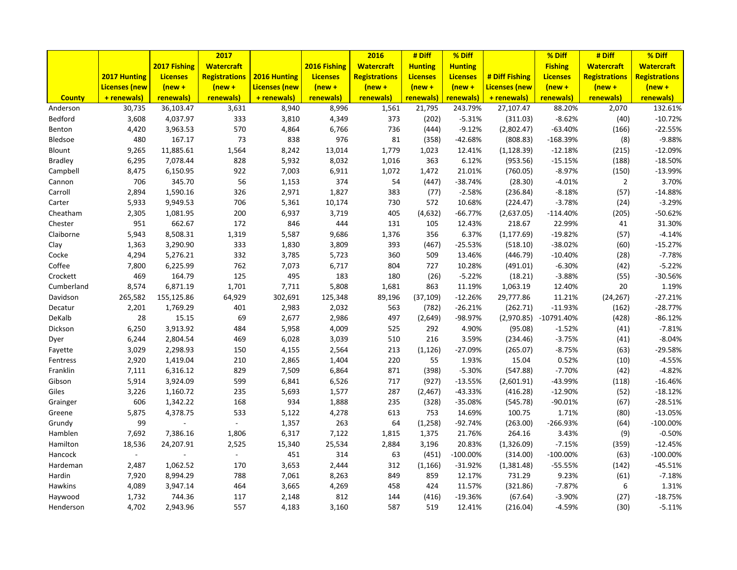|                |                      |                 | 2017                     |                      |                 | 2016                 | # Diff          | % Diff          |                      | % Diff          | # Diff               | % Diff               |
|----------------|----------------------|-----------------|--------------------------|----------------------|-----------------|----------------------|-----------------|-----------------|----------------------|-----------------|----------------------|----------------------|
|                |                      | 2017 Fishing    | <b>Watercraft</b>        |                      | 2016 Fishing    | <b>Watercraft</b>    | <b>Hunting</b>  | <b>Hunting</b>  |                      | <b>Fishing</b>  | <b>Watercraft</b>    | <b>Watercraft</b>    |
|                | 2017 Hunting         | <b>Licenses</b> | <b>Registrations</b>     | 2016 Hunting         | <b>Licenses</b> | <b>Registrations</b> | <b>Licenses</b> | <b>Licenses</b> | # Diff Fishing       | <b>Licenses</b> | <b>Registrations</b> | <b>Registrations</b> |
|                | <b>Licenses (new</b> | $(new +$        | $(new +$                 | <b>Licenses (new</b> | $(new +$        | $(new +$             | $(new +$        | $(new +$        | <b>Licenses (new</b> | $(new +$        | $(new +$             | $(new +$             |
| <b>County</b>  | + renewals)          | renewals)       | renewals)                | + renewals)          | renewals)       | renewals)            | renewals)       | renewals)       | + renewals)          | renewals)       | renewals)            | renewals)            |
| Anderson       | 30,735               | 36,103.47       | 3,631                    | 8,940                | 8,996           | 1,561                | 21,795          | 243.79%         | 27,107.47            | 88.20%          | 2,070                | 132.61%              |
| Bedford        | 3,608                | 4,037.97        | 333                      | 3,810                | 4,349           | 373                  | (202)           | $-5.31%$        | (311.03)             | $-8.62%$        | (40)                 | $-10.72%$            |
| Benton         | 4,420                | 3,963.53        | 570                      | 4,864                | 6,766           | 736                  | (444)           | $-9.12%$        | (2,802.47)           | $-63.40%$       | (166)                | $-22.55%$            |
| Bledsoe        | 480                  | 167.17          | 73                       | 838                  | 976             | 81                   | (358)           | $-42.68%$       | (808.83)             | $-168.39%$      | (8)                  | $-9.88%$             |
| Blount         | 9,265                | 11,885.61       | 1,564                    | 8,242                | 13,014          | 1,779                | 1,023           | 12.41%          | (1, 128.39)          | $-12.18%$       | (215)                | $-12.09%$            |
| <b>Bradley</b> | 6,295                | 7,078.44        | 828                      | 5,932                | 8,032           | 1,016                | 363             | 6.12%           | (953.56)             | $-15.15%$       | (188)                | $-18.50%$            |
| Campbell       | 8,475                | 6,150.95        | 922                      | 7,003                | 6,911           | 1,072                | 1,472           | 21.01%          | (760.05)             | $-8.97%$        | (150)                | $-13.99%$            |
| Cannon         | 706                  | 345.70          | 56                       | 1,153                | 374             | 54                   | (447)           | $-38.74%$       | (28.30)              | $-4.01%$        | $\mathbf 2$          | 3.70%                |
| Carroll        | 2,894                | 1,590.16        | 326                      | 2,971                | 1,827           | 383                  | (77)            | $-2.58%$        | (236.84)             | $-8.18%$        | (57)                 | $-14.88%$            |
| Carter         | 5,933                | 9,949.53        | 706                      | 5,361                | 10,174          | 730                  | 572             | 10.68%          | (224.47)             | $-3.78%$        | (24)                 | $-3.29%$             |
| Cheatham       | 2,305                | 1,081.95        | 200                      | 6,937                | 3,719           | 405                  | (4,632)         | $-66.77%$       | (2,637.05)           | $-114.40%$      | (205)                | $-50.62%$            |
| Chester        | 951                  | 662.67          | 172                      | 846                  | 444             | 131                  | 105             | 12.43%          | 218.67               | 22.99%          | 41                   | 31.30%               |
| Claiborne      | 5,943                | 8,508.31        | 1,319                    | 5,587                | 9,686           | 1,376                | 356             | 6.37%           | (1, 177.69)          | $-19.82%$       | (57)                 | $-4.14%$             |
| Clay           | 1,363                | 3,290.90        | 333                      | 1,830                | 3,809           | 393                  | (467)           | $-25.53%$       | (518.10)             | $-38.02%$       | (60)                 | $-15.27%$            |
| Cocke          | 4,294                | 5,276.21        | 332                      | 3,785                | 5,723           | 360                  | 509             | 13.46%          | (446.79)             | $-10.40%$       | (28)                 | $-7.78%$             |
| Coffee         | 7,800                | 6,225.99        | 762                      | 7,073                | 6,717           | 804                  | 727             | 10.28%          | (491.01)             | $-6.30%$        | (42)                 | $-5.22%$             |
| Crockett       | 469                  | 164.79          | 125                      | 495                  | 183             | 180                  | (26)            | $-5.22%$        | (18.21)              | $-3.88%$        | (55)                 | $-30.56%$            |
| Cumberland     | 8,574                | 6,871.19        | 1,701                    | 7,711                | 5,808           | 1,681                | 863             | 11.19%          | 1,063.19             | 12.40%          | 20                   | 1.19%                |
| Davidson       | 265,582              | 155,125.86      | 64,929                   | 302,691              | 125,348         | 89,196               | (37, 109)       | $-12.26%$       | 29,777.86            | 11.21%          | (24, 267)            | $-27.21%$            |
| Decatur        | 2,201                | 1,769.29        | 401                      | 2,983                | 2,032           | 563                  | (782)           | $-26.21%$       | (262.71)             | $-11.93%$       | (162)                | $-28.77%$            |
| DeKalb         | 28                   | 15.15           | 69                       | 2,677                | 2,986           | 497                  | (2,649)         | $-98.97%$       | (2,970.85)           | $-10791.40%$    | (428)                | $-86.12%$            |
| Dickson        | 6,250                | 3,913.92        | 484                      | 5,958                | 4,009           | 525                  | 292             | 4.90%           | (95.08)              | $-1.52%$        | (41)                 | $-7.81%$             |
| Dyer           | 6,244                | 2,804.54        | 469                      | 6,028                | 3,039           | 510                  | 216             | 3.59%           | (234.46)             | $-3.75%$        | (41)                 | $-8.04%$             |
| Fayette        | 3,029                | 2,298.93        | 150                      | 4,155                | 2,564           | 213                  | (1, 126)        | $-27.09%$       | (265.07)             | $-8.75%$        | (63)                 | $-29.58%$            |
| Fentress       | 2,920                | 1,419.04        | 210                      | 2,865                | 1,404           | 220                  | 55              | 1.93%           | 15.04                | 0.52%           | (10)                 | $-4.55%$             |
| Franklin       | 7,111                | 6,316.12        | 829                      | 7,509                | 6,864           | 871                  | (398)           | $-5.30%$        | (547.88)             | $-7.70%$        | (42)                 | $-4.82%$             |
| Gibson         | 5,914                | 3,924.09        | 599                      | 6,841                | 6,526           | 717                  | (927)           | $-13.55%$       | (2,601.91)           | -43.99%         | (118)                | $-16.46%$            |
| Giles          | 3,226                | 1,160.72        | 235                      | 5,693                | 1,577           | 287                  | (2,467)         | $-43.33%$       | (416.28)             | $-12.90%$       | (52)                 | $-18.12%$            |
| Grainger       | 606                  | 1,342.22        | 168                      | 934                  | 1,888           | 235                  | (328)           | $-35.08%$       | (545.78)             | $-90.01%$       | (67)                 | $-28.51%$            |
| Greene         | 5,875                | 4,378.75        | 533                      | 5,122                | 4,278           | 613                  | 753             | 14.69%          | 100.75               | 1.71%           | (80)                 | $-13.05%$            |
| Grundy         | 99                   | $\sim$          | $\overline{\phantom{a}}$ | 1,357                | 263             | 64                   | (1,258)         | $-92.74%$       | (263.00)             | $-266.93%$      | (64)                 | $-100.00\%$          |
| Hamblen        | 7,692                | 7,386.16        | 1,806                    | 6,317                | 7,122           | 1,815                | 1,375           | 21.76%          | 264.16               | 3.43%           | (9)                  | $-0.50%$             |
| Hamilton       | 18,536               | 24,207.91       | 2,525                    | 15,340               | 25,534          | 2,884                | 3,196           | 20.83%          | (1,326.09)           | $-7.15%$        | (359)                | $-12.45%$            |
| Hancock        |                      | $\overline{a}$  | $\mathbb{L}$             | 451                  | 314             | 63                   | (451)           | $-100.00%$      | (314.00)             | $-100.00\%$     | (63)                 | $-100.00\%$          |
| Hardeman       | 2,487                | 1,062.52        | 170                      | 3,653                | 2,444           | 312                  | (1, 166)        | $-31.92%$       | (1,381.48)           | $-55.55%$       | (142)                | $-45.51%$            |
| Hardin         | 7,920                | 8,994.29        | 788                      | 7,061                | 8,263           | 849                  | 859             | 12.17%          | 731.29               | 9.23%           | (61)                 | $-7.18%$             |
| Hawkins        | 4,089                | 3,947.14        | 464                      | 3,665                | 4,269           | 458                  | 424             | 11.57%          | (321.86)             | $-7.87%$        | 6                    | 1.31%                |
| Haywood        | 1,732                | 744.36          | 117                      | 2,148                | 812             | 144                  | (416)           | $-19.36%$       | (67.64)              | $-3.90%$        | (27)                 | $-18.75%$            |
| Henderson      | 4,702                | 2,943.96        | 557                      | 4,183                | 3,160           | 587                  | 519             | 12.41%          | (216.04)             | $-4.59%$        | (30)                 | $-5.11%$             |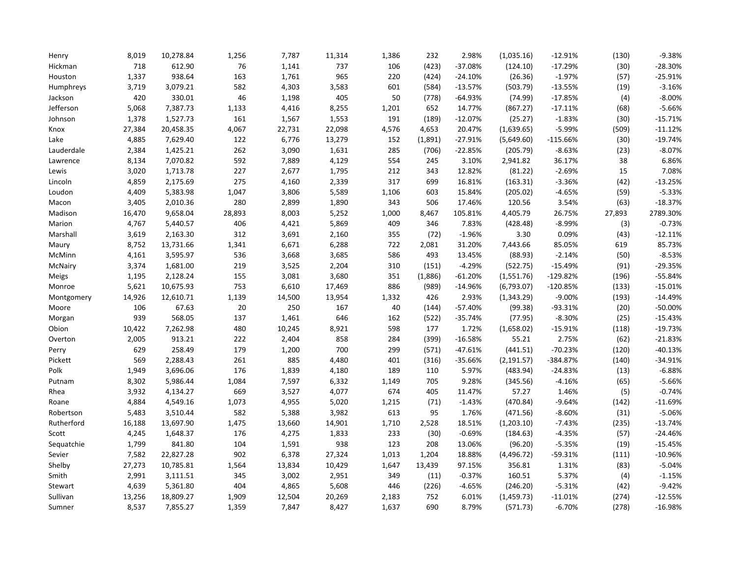| Henry      | 8,019  | 10,278.84 | 1,256  | 7,787  | 11,314 | 1,386 | 232     | 2.98%     | (1,035.16)  | $-12.91%$  | (130)  | $-9.38%$  |
|------------|--------|-----------|--------|--------|--------|-------|---------|-----------|-------------|------------|--------|-----------|
| Hickman    | 718    | 612.90    | 76     | 1,141  | 737    | 106   | (423)   | $-37.08%$ | (124.10)    | $-17.29%$  | (30)   | $-28.30%$ |
| Houston    | 1,337  | 938.64    | 163    | 1,761  | 965    | 220   | (424)   | $-24.10%$ | (26.36)     | $-1.97%$   | (57)   | $-25.91%$ |
| Humphreys  | 3,719  | 3,079.21  | 582    | 4,303  | 3,583  | 601   | (584)   | $-13.57%$ | (503.79)    | $-13.55%$  | (19)   | $-3.16%$  |
| Jackson    | 420    | 330.01    | 46     | 1,198  | 405    | 50    | (778)   | $-64.93%$ | (74.99)     | $-17.85%$  | (4)    | $-8.00%$  |
| Jefferson  | 5,068  | 7,387.73  | 1,133  | 4,416  | 8,255  | 1,201 | 652     | 14.77%    | (867.27)    | $-17.11%$  | (68)   | $-5.66%$  |
| Johnson    | 1,378  | 1,527.73  | 161    | 1,567  | 1,553  | 191   | (189)   | $-12.07%$ | (25.27)     | $-1.83%$   | (30)   | $-15.71%$ |
| Knox       | 27,384 | 20,458.35 | 4,067  | 22,731 | 22,098 | 4,576 | 4,653   | 20.47%    | (1,639.65)  | $-5.99%$   | (509)  | $-11.12%$ |
| Lake       | 4,885  | 7,629.40  | 122    | 6,776  | 13,279 | 152   | (1,891) | $-27.91%$ | (5,649.60)  | $-115.66%$ | (30)   | $-19.74%$ |
| Lauderdale | 2,384  | 1,425.21  | 262    | 3,090  | 1,631  | 285   | (706)   | $-22.85%$ | (205.79)    | $-8.63%$   | (23)   | $-8.07%$  |
| Lawrence   | 8,134  | 7,070.82  | 592    | 7,889  | 4,129  | 554   | 245     | 3.10%     | 2,941.82    | 36.17%     | 38     | 6.86%     |
| Lewis      | 3,020  | 1,713.78  | 227    | 2,677  | 1,795  | 212   | 343     | 12.82%    | (81.22)     | $-2.69%$   | 15     | 7.08%     |
| Lincoln    | 4,859  | 2,175.69  | 275    | 4,160  | 2,339  | 317   | 699     | 16.81%    | (163.31)    | $-3.36%$   | (42)   | $-13.25%$ |
| Loudon     | 4,409  | 5,383.98  | 1,047  | 3,806  | 5,589  | 1,106 | 603     | 15.84%    | (205.02)    | $-4.65%$   | (59)   | $-5.33%$  |
| Macon      | 3,405  | 2,010.36  | 280    | 2,899  | 1,890  | 343   | 506     | 17.46%    | 120.56      | 3.54%      | (63)   | $-18.37%$ |
| Madison    | 16,470 | 9,658.04  | 28,893 | 8,003  | 5,252  | 1,000 | 8,467   | 105.81%   | 4,405.79    | 26.75%     | 27,893 | 2789.30%  |
| Marion     | 4,767  | 5,440.57  | 406    | 4,421  | 5,869  | 409   | 346     | 7.83%     | (428.48)    | $-8.99%$   | (3)    | $-0.73%$  |
| Marshall   | 3,619  | 2,163.30  | 312    | 3,691  | 2,160  | 355   | (72)    | $-1.96%$  | 3.30        | 0.09%      | (43)   | $-12.11%$ |
| Maury      | 8,752  | 13,731.66 | 1,341  | 6,671  | 6,288  | 722   | 2,081   | 31.20%    | 7,443.66    | 85.05%     | 619    | 85.73%    |
| McMinn     | 4,161  | 3,595.97  | 536    | 3,668  | 3,685  | 586   | 493     | 13.45%    | (88.93)     | $-2.14%$   | (50)   | $-8.53%$  |
| McNairy    | 3,374  | 1,681.00  | 219    | 3,525  | 2,204  | 310   | (151)   | $-4.29%$  | (522.75)    | $-15.49%$  | (91)   | $-29.35%$ |
| Meigs      | 1,195  | 2,128.24  | 155    | 3,081  | 3,680  | 351   | (1,886) | $-61.20%$ | (1,551.76)  | $-129.82%$ | (196)  | $-55.84%$ |
| Monroe     | 5,621  | 10,675.93 | 753    | 6,610  | 17,469 | 886   | (989)   | $-14.96%$ | (6,793.07)  | $-120.85%$ | (133)  | $-15.01%$ |
| Montgomery | 14,926 | 12,610.71 | 1,139  | 14,500 | 13,954 | 1,332 | 426     | 2.93%     | (1,343.29)  | $-9.00%$   | (193)  | $-14.49%$ |
| Moore      | 106    | 67.63     | 20     | 250    | 167    | 40    | (144)   | $-57.40%$ | (99.38)     | $-93.31%$  | (20)   | $-50.00%$ |
| Morgan     | 939    | 568.05    | 137    | 1,461  | 646    | 162   | (522)   | $-35.74%$ | (77.95)     | $-8.30%$   | (25)   | $-15.43%$ |
| Obion      | 10,422 | 7,262.98  | 480    | 10,245 | 8,921  | 598   | 177     | 1.72%     | (1,658.02)  | $-15.91%$  | (118)  | $-19.73%$ |
| Overton    | 2,005  | 913.21    | 222    | 2,404  | 858    | 284   | (399)   | $-16.58%$ | 55.21       | 2.75%      | (62)   | $-21.83%$ |
| Perry      | 629    | 258.49    | 179    | 1,200  | 700    | 299   | (571)   | $-47.61%$ | (441.51)    | $-70.23%$  | (120)  | $-40.13%$ |
| Pickett    | 569    | 2,288.43  | 261    | 885    | 4,480  | 401   | (316)   | $-35.66%$ | (2, 191.57) | -384.87%   | (140)  | $-34.91%$ |
| Polk       | 1,949  | 3,696.06  | 176    | 1,839  | 4,180  | 189   | 110     | 5.97%     | (483.94)    | $-24.83%$  | (13)   | $-6.88%$  |
| Putnam     | 8,302  | 5,986.44  | 1,084  | 7,597  | 6,332  | 1,149 | 705     | 9.28%     | (345.56)    | $-4.16%$   | (65)   | $-5.66%$  |
| Rhea       | 3,932  | 4,134.27  | 669    | 3,527  | 4,077  | 674   | 405     | 11.47%    | 57.27       | 1.46%      | (5)    | $-0.74%$  |
| Roane      | 4,884  | 4,549.16  | 1,073  | 4,955  | 5,020  | 1,215 | (71)    | $-1.43%$  | (470.84)    | $-9.64%$   | (142)  | $-11.69%$ |
| Robertson  | 5,483  | 3,510.44  | 582    | 5,388  | 3,982  | 613   | 95      | 1.76%     | (471.56)    | $-8.60%$   | (31)   | $-5.06%$  |
| Rutherford | 16,188 | 13,697.90 | 1,475  | 13,660 | 14,901 | 1,710 | 2,528   | 18.51%    | (1,203.10)  | $-7.43%$   | (235)  | $-13.74%$ |
| Scott      | 4,245  | 1,648.37  | 176    | 4,275  | 1,833  | 233   | (30)    | $-0.69%$  | (184.63)    | $-4.35%$   | (57)   | $-24.46%$ |
| Sequatchie | 1,799  | 841.80    | 104    | 1,591  | 938    | 123   | 208     | 13.06%    | (96.20)     | $-5.35%$   | (19)   | $-15.45%$ |
| Sevier     | 7,582  | 22,827.28 | 902    | 6,378  | 27,324 | 1,013 | 1,204   | 18.88%    | (4,496.72)  | $-59.31%$  | (111)  | $-10.96%$ |
| Shelby     | 27,273 | 10,785.81 | 1,564  | 13,834 | 10,429 | 1,647 | 13,439  | 97.15%    | 356.81      | 1.31%      | (83)   | $-5.04%$  |
| Smith      | 2,991  | 3,111.51  | 345    | 3,002  | 2,951  | 349   | (11)    | $-0.37%$  | 160.51      | 5.37%      | (4)    | $-1.15%$  |
| Stewart    | 4,639  | 5,361.80  | 404    | 4,865  | 5,608  | 446   | (226)   | $-4.65%$  | (246.20)    | $-5.31%$   | (42)   | $-9.42%$  |
| Sullivan   | 13,256 | 18,809.27 | 1,909  | 12,504 | 20,269 | 2,183 | 752     | 6.01%     | (1,459.73)  | $-11.01\%$ | (274)  | $-12.55%$ |
| Sumner     | 8,537  | 7,855.27  | 1,359  | 7,847  | 8,427  | 1,637 | 690     | 8.79%     | (571.73)    | $-6.70%$   | (278)  | $-16.98%$ |